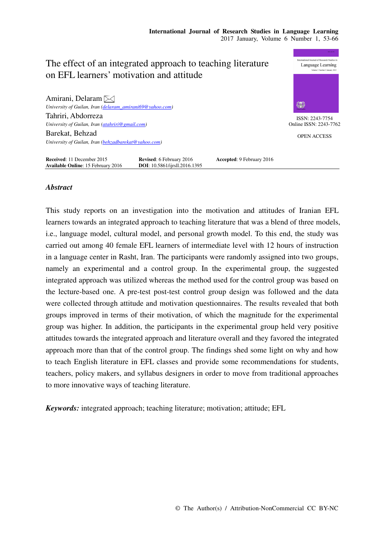# nal Journal of Research Studies The effect of an integrated approach to teaching literature Language Learning on EFL learners' motivation and attitude Amirani, Delaram *University of Guilan, Iran (delaram\_amirani69@yahoo.com)*  Tahriri, Abdorreza ISSN: 2243-7754 *University of Guilan, Iran (atahriri@gmail.com)*  Online ISSN: 2243-7762 Barekat, Behzad OPEN ACCESS *University of Guilan, Iran (behzadbarekat@yahoo.com)*  **Received**: 11 December 2015 **Revised**: 6 February 2016 **Accepted**: 9 February 2016 **Available Online**: 15 February 2016 **DOI**: 10.5861/ijrsll.2016.1395

# *Abstract*

**Available Online**: 15 February 2016

This study reports on an investigation into the motivation and attitudes of Iranian EFL learners towards an integrated approach to teaching literature that was a blend of three models, i.e., language model, cultural model, and personal growth model. To this end, the study was carried out among 40 female EFL learners of intermediate level with 12 hours of instruction in a language center in Rasht, Iran. The participants were randomly assigned into two groups, namely an experimental and a control group. In the experimental group, the suggested integrated approach was utilized whereas the method used for the control group was based on the lecture-based one. A pre-test post-test control group design was followed and the data were collected through attitude and motivation questionnaires. The results revealed that both groups improved in terms of their motivation, of which the magnitude for the experimental group was higher. In addition, the participants in the experimental group held very positive attitudes towards the integrated approach and literature overall and they favored the integrated approach more than that of the control group. The findings shed some light on why and how to teach English literature in EFL classes and provide some recommendations for students, teachers, policy makers, and syllabus designers in order to move from traditional approaches to more innovative ways of teaching literature.

*Keywords:* integrated approach; teaching literature; motivation; attitude; EFL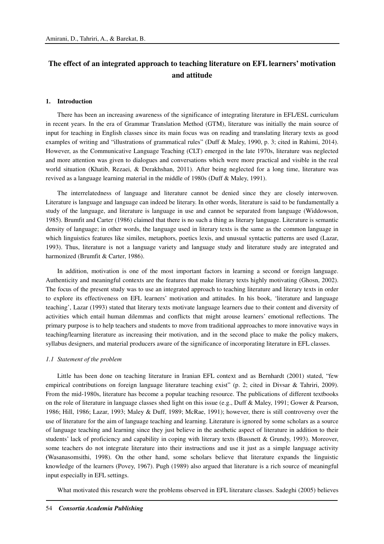# **The effect of an integrated approach to teaching literature on EFL learners' motivation and attitude**

#### **1. Introduction**

There has been an increasing awareness of the significance of integrating literature in EFL/ESL curriculum in recent years. In the era of Grammar Translation Method (GTM), literature was initially the main source of input for teaching in English classes since its main focus was on reading and translating literary texts as good examples of writing and "illustrations of grammatical rules" (Duff & Maley, 1990, p. 3; cited in Rahimi, 2014). However, as the Communicative Language Teaching (CLT) emerged in the late 1970s, literature was neglected and more attention was given to dialogues and conversations which were more practical and visible in the real world situation (Khatib, Rezaei, & Derakhshan, 2011). After being neglected for a long time, literature was revived as a language learning material in the middle of 1980s (Duff & Maley, 1991).

The interrelatedness of language and literature cannot be denied since they are closely interwoven. Literature is language and language can indeed be literary. In other words, literature is said to be fundamentally a study of the language, and literature is language in use and cannot be separated from language (Widdowson, 1985). Brumfit and Carter (1986) claimed that there is no such a thing as literary language. Literature is semantic density of language; in other words, the language used in literary texts is the same as the common language in which linguistics features like similes, metaphors, poetics lexis, and unusual syntactic patterns are used (Lazar, 1993). Thus, literature is not a language variety and language study and literature study are integrated and harmonized (Brumfit & Carter, 1986).

In addition, motivation is one of the most important factors in learning a second or foreign language. Authenticity and meaningful contexts are the features that make literary texts highly motivating (Ghosn, 2002). The focus of the present study was to use an integrated approach to teaching literature and literary texts in order to explore its effectiveness on EFL learners' motivation and attitudes. In his book, 'literature and language teaching', Lazar (1993) stated that literary texts motivate language learners due to their content and diversity of activities which entail human dilemmas and conflicts that might arouse learners' emotional reflections. The primary purpose is to help teachers and students to move from traditional approaches to more innovative ways in teaching/learning literature as increasing their motivation, and in the second place to make the policy makers, syllabus designers, and material producers aware of the significance of incorporating literature in EFL classes.

#### *1.1 Statement of the problem*

Little has been done on teaching literature in Iranian EFL context and as Bernhardt (2001) stated, "few empirical contributions on foreign language literature teaching exist" (p. 2; cited in Divsar & Tahriri, 2009). From the mid-1980s, literature has become a popular teaching resource. The publications of different textbooks on the role of literature in language classes shed light on this issue (e.g., Duff & Maley, 1991; Gower & Pearson, 1986; Hill, 1986; Lazar, 1993; Maley & Duff, 1989; McRae, 1991); however, there is still controversy over the use of literature for the aim of language teaching and learning. Literature is ignored by some scholars as a source of language teaching and learning since they just believe in the aesthetic aspect of literature in addition to their students' lack of proficiency and capability in coping with literary texts (Bassnett & Grundy, 1993). Moreover, some teachers do not integrate literature into their instructions and use it just as a simple language activity **(**Wasanasomsithi, 1998). On the other hand, some scholars believe that literature expands the linguistic knowledge of the learners (Povey, 1967). Pugh (1989) also argued that literature is a rich source of meaningful input especially in EFL settings.

What motivated this research were the problems observed in EFL literature classes. Sadeghi (2005) believes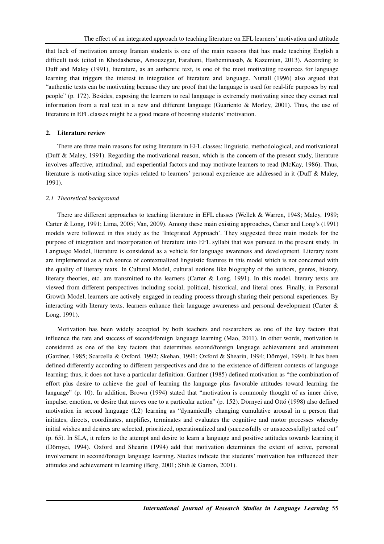that lack of motivation among Iranian students is one of the main reasons that has made teaching English a difficult task (cited in Khodashenas, Amouzegar, Farahani, Hasheminasab, & Kazemian, 2013). According to Duff and Maley (1991), literature, as an authentic text, is one of the most motivating resources for language learning that triggers the interest in integration of literature and language. Nuttall (1996) also argued that "authentic texts can be motivating because they are proof that the language is used for real-life purposes by real people" (p. 172). Besides, exposing the learners to real language is extremely motivating since they extract real information from a real text in a new and different language (Guariento & Morley, 2001). Thus, the use of literature in EFL classes might be a good means of boosting students' motivation.

# **2. Literature review**

There are three main reasons for using literature in EFL classes: linguistic, methodological, and motivational (Duff & Maley, 1991). Regarding the motivational reason, which is the concern of the present study, literature involves affective, attitudinal, and experiential factors and may motivate learners to read (McKay, 1986). Thus, literature is motivating since topics related to learners' personal experience are addressed in it (Duff & Maley, 1991).

#### *2.1 Theoretical background*

There are different approaches to teaching literature in EFL classes (Wellek & Warren, 1948; Maley, 1989; Carter & Long, 1991; Lima, 2005; Van, 2009). Among these main existing approaches, Carter and Long's (1991) models were followed in this study as the 'Integrated Approach'. They suggested three main models for the purpose of integration and incorporation of literature into EFL syllabi that was pursued in the present study. In Language Model, literature is considered as a vehicle for language awareness and development. Literary texts are implemented as a rich source of contextualized linguistic features in this model which is not concerned with the quality of literary texts. In Cultural Model, cultural notions like biography of the authors, genres, history, literary theories, etc. are transmitted to the learners (Carter & Long, 1991). In this model, literary texts are viewed from different perspectives including social, political, historical, and literal ones. Finally, in Personal Growth Model, learners are actively engaged in reading process through sharing their personal experiences. By interacting with literary texts, learners enhance their language awareness and personal development (Carter & Long, 1991).

Motivation has been widely accepted by both teachers and researchers as one of the key factors that influence the rate and success of second/foreign language learning (Mao, 2011). In other words, motivation is considered as one of the key factors that determines second/foreign language achievement and attainment (Gardner, 1985; Scarcella & Oxford, 1992; Skehan, 1991; Oxford & Shearin, 1994; Dörnyei, 1994). It has been defined differently according to different perspectives and due to the existence of different contexts of language learning; thus, it does not have a particular definition. Gardner (1985) defined motivation as "the combination of effort plus desire to achieve the goal of learning the language plus favorable attitudes toward learning the language" (p. 10). In addition, Brown (1994) stated that "motivation is commonly thought of as inner drive, impulse, emotion, or desire that moves one to a particular action" (p. 152). Dörnyei and Ottó (1998) also defined motivation in second language (L2) learning as "dynamically changing cumulative arousal in a person that initiates, directs, coordinates, amplifies, terminates and evaluates the cognitive and motor processes whereby initial wishes and desires are selected, prioritized, operationalized and (successfully or unsuccessfully) acted out" (p. 65). In SLA, it refers to the attempt and desire to learn a language and positive attitudes towards learning it (Dörnyei, 1994). Oxford and Shearin (1994) add that motivation determines the extent of active, personal involvement in second/foreign language learning. Studies indicate that students' motivation has influenced their attitudes and achievement in learning (Berg, 2001; Shih & Gamon, 2001).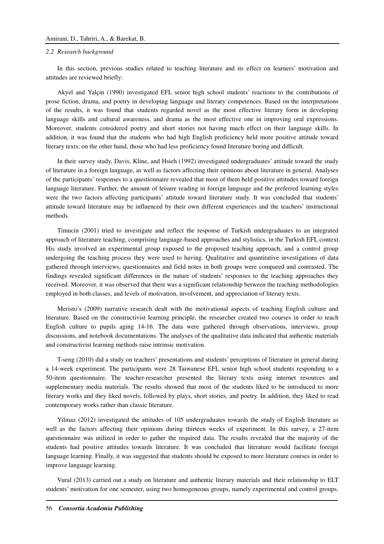#### *2.2 Research background*

In this section, previous studies related to teaching literature and its effect on learners' motivation and attitudes are reviewed briefly:

Akyel and Yalçin (1990) investigated EFL senior high school students' reactions to the contributions of prose fiction, drama, and poetry in developing language and literary competences. Based on the interpretations of the results, it was found that students regarded novel as the most effective literary form in developing language skills and cultural awareness, and drama as the most effective one in improving oral expressions. Moreover, students considered poetry and short stories not having much effect on their language skills. In addition, it was found that the students who had high English proficiency held more positive attitude toward literary texts; on the other hand, those who had less proficiency found literature boring and difficult.

In their survey study, Davis, Kline, and Hsieh (1992) investigated undergraduates' attitude toward the study of literature in a foreign language, as well as factors affecting their opinions about literature in general. Analyses of the participants' responses to a questionnaire revealed that most of them held positive attitudes toward foreign language literature. Further, the amount of leisure reading in foreign language and the preferred learning styles were the two factors affecting participants' attitude toward literature study. It was concluded that students' attitude toward literature may be influenced by their own different experiences and the teachers' instructional methods.

Timucin (2001) tried to investigate and reflect the response of Turkish undergraduates to an integrated approach of literature teaching, comprising language-based approaches and stylistics, in the Turkish EFL context. His study involved an experimental group exposed to the proposed teaching approach, and a control group undergoing the teaching process they were used to having. Qualitative and quantitative investigations of data gathered through interviews, questionnaires and field notes in both groups were compared and contrasted. The findings revealed significant differences in the nature of students' responses to the teaching approaches they received. Moreover, it was observed that there was a significant relationship between the teaching methodologies employed in both classes, and levels of motivation, involvement, and appreciation of literary texts.

Meristo's (2009) narrative research dealt with the motivational aspects of teaching English culture and literature. Based on the constructivist learning principle, the researcher created two courses in order to teach English culture to pupils aging 14-16. The data were gathered through observations, interviews, group discussions, and notebook documentations. The analyses of the qualitative data indicated that authentic materials and constructivist learning methods raise intrinsic motivation.

T-seng (2010) did a study on teachers' presentations and students' perceptions of literature in general during a 14-week experiment. The participants were 28 Taiwanese EFL senior high school students responding to a 50-item questionnaire. The teacher-researcher presented the literary texts using internet resources and supplementary media materials. The results showed that most of the students liked to be introduced to more literary works and they liked novels, followed by plays, short stories, and poetry. In addition, they liked to read contemporary works rather than classic literature.

Yilmaz (2012) investigated the attitudes of 105 undergraduates towards the study of English literature as well as the factors affecting their opinions during thirteen weeks of experiment. In this survey, a 27-item questionnaire was utilized in order to gather the required data. The results revealed that the majority of the students had positive attitudes towards literature. It was concluded that literature would facilitate foreign language learning. Finally, it was suggested that students should be exposed to more literature courses in order to improve language learning.

Vural (2013) carried out a study on literature and authentic literary materials and their relationship to ELT students' motivation for one semester, using two homogeneous groups, namely experimental and control groups.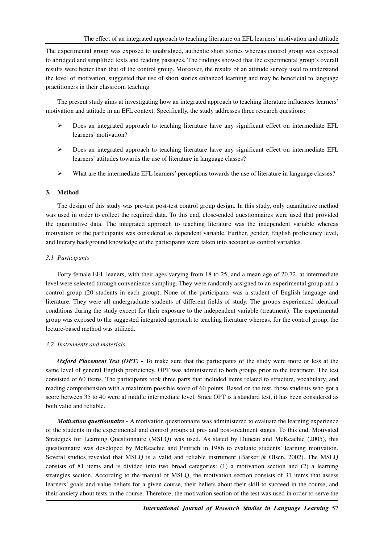The experimental group was exposed to unabridged, authentic short stories whereas control group was exposed to abridged and simplified texts and reading passages. The findings showed that the experimental group's overall results were better than that of the control group. Moreover, the results of an attitude survey used to understand the level of motivation, suggested that use of short stories enhanced learning and may be beneficial to language practitioners in their classroom teaching.

The present study aims at investigating how an integrated approach to teaching literature influences learners' motivation and attitude in an EFL context. Specifically, the study addresses three research questions:

- Does an integrated approach to teaching literature have any significant effect on intermediate EFL learners' motivation?
- Does an integrated approach to teaching literature have any significant effect on intermediate EFL learners' attitudes towards the use of literature in language classes?
- $\triangleright$  What are the intermediate EFL learners' perceptions towards the use of literature in language classes?

# **3. Method**

The design of this study was pre-test post-test control group design. In this study, only quantitative method was used in order to collect the required data. To this end, close-ended questionnaires were used that provided the quantitative data. The integrated approach to teaching literature was the independent variable whereas motivation of the participants was considered as dependent variable. Further, gender, English proficiency level, and literary background knowledge of the participants were taken into account as control variables.

# *3.1 Participants*

Forty female EFL leaners, with their ages varying from 18 to 25, and a mean age of 20.72, at intermediate level were selected through convenience sampling. They were randomly assigned to an experimental group and a control group (20 students in each group). None of the participants was a student of English language and literature. They were all undergraduate students of different fields of study. The groups experienced identical conditions during the study except for their exposure to the independent variable (treatment). The experimental group was exposed to the suggested integrated approach to teaching literature whereas, for the control group, the lecture-based method was utilized.

# *3.2 Instruments and materials*

*Oxford Placement Test (OPT) -* To make sure that the participants of the study were more or less at the same level of general English proficiency, OPT was administered to both groups prior to the treatment. The test consisted of 60 items. The participants took three parts that included items related to structure, vocabulary, and reading comprehension with a maximum possible score of 60 points. Based on the test, those students who got a score between 35 to 40 were at middle intermediate level. Since OPT is a standard test, it has been considered as both valid and reliable.

*Motivation questionnaire -* A motivation questionnaire was administered to evaluate the learning experience of the students in the experimental and control groups at pre- and post-treatment stages. To this end, Motivated Strategies for Learning Questionnaire (MSLQ) was used. As stated by Duncan and McKeachie (2005), this questionnaire was developed by McKeachie and Pintrich in 1986 to evaluate students' learning motivation. Several studies revealed that MSLQ is a valid and reliable instrument (Barker & Olsen, 2002). The MSLQ consists of 81 items and is divided into two broad categories: (1) a motivation section and (2) a learning strategies section. According to the manual of MSLQ, the motivation section consists of 31 items that assess learners' goals and value beliefs for a given course, their beliefs about their skill to succeed in the course, and their anxiety about tests in the course. Therefore, the motivation section of the test was used in order to serve the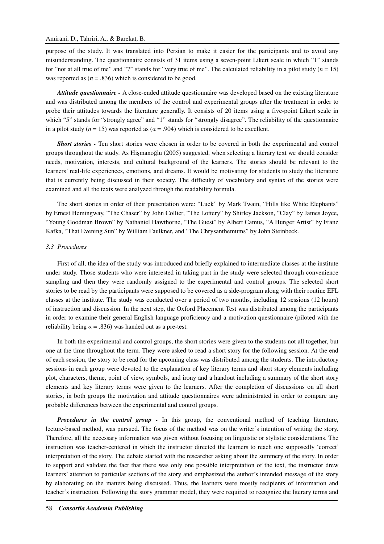purpose of the study. It was translated into Persian to make it easier for the participants and to avoid any misunderstanding. The questionnaire consists of 31 items using a seven-point Likert scale in which "1" stands for "not at all true of me" and "7" stands for "very true of me". The calculated reliability in a pilot study  $(n = 15)$ was reported as ( $\alpha = .836$ ) which is considered to be good.

*Attitude questionnaire -* A close-ended attitude questionnaire was developed based on the existing literature and was distributed among the members of the control and experimental groups after the treatment in order to probe their attitudes towards the literature generally. It consists of 20 items using a five-point Likert scale in which "5" stands for "strongly agree" and "1" stands for "strongly disagree". The reliability of the questionnaire in a pilot study ( $n = 15$ ) was reported as ( $\alpha = .904$ ) which is considered to be excellent.

*Short stories -* Ten short stories were chosen in order to be covered in both the experimental and control groups throughout the study. As Hişmanoğlu (2005) suggested, when selecting a literary text we should consider needs, motivation, interests, and cultural background of the learners. The stories should be relevant to the learners' real-life experiences, emotions, and dreams. It would be motivating for students to study the literature that is currently being discussed in their society. The difficulty of vocabulary and syntax of the stories were examined and all the texts were analyzed through the readability formula.

The short stories in order of their presentation were: "Luck" by Mark Twain, "Hills like White Elephants" by Ernest Hemingway, "The Chaser" by John Collier, "The Lottery" by Shirley Jackson, "Clay" by James Joyce, "Young Goodman Brown" by Nathaniel Hawthorne, "The Guest" by Albert Camus, "A Hunger Artist" by Franz Kafka, "That Evening Sun" by William Faulkner, and "The Chrysanthemums" by John Steinbeck.

#### *3.3 Procedures*

First of all, the idea of the study was introduced and briefly explained to intermediate classes at the institute under study. Those students who were interested in taking part in the study were selected through convenience sampling and then they were randomly assigned to the experimental and control groups. The selected short stories to be read by the participants were supposed to be covered as a side-program along with their routine EFL classes at the institute. The study was conducted over a period of two months, including 12 sessions (12 hours) of instruction and discussion. In the next step, the Oxford Placement Test was distributed among the participants in order to examine their general English language proficiency and a motivation questionnaire (piloted with the reliability being  $\alpha = .836$ ) was handed out as a pre-test.

In both the experimental and control groups, the short stories were given to the students not all together, but one at the time throughout the term. They were asked to read a short story for the following session. At the end of each session, the story to be read for the upcoming class was distributed among the students. The introductory sessions in each group were devoted to the explanation of key literary terms and short story elements including plot, characters, theme, point of view, symbols, and irony and a handout including a summary of the short story elements and key literary terms were given to the learners. After the completion of discussions on all short stories, in both groups the motivation and attitude questionnaires were administrated in order to compare any probable differences between the experimental and control groups.

*Procedures in the control group -* In this group, the conventional method of teaching literature, lecture-based method, was pursued. The focus of the method was on the writer's intention of writing the story. Therefore, all the necessary information was given without focusing on linguistic or stylistic considerations. The instruction was teacher-centered in which the instructor directed the learners to reach one supposedly 'correct' interpretation of the story. The debate started with the researcher asking about the summery of the story. In order to support and validate the fact that there was only one possible interpretation of the text, the instructor drew learners' attention to particular sections of the story and emphasized the author's intended message of the story by elaborating on the matters being discussed. Thus, the learners were mostly recipients of information and teacher's instruction. Following the story grammar model, they were required to recognize the literary terms and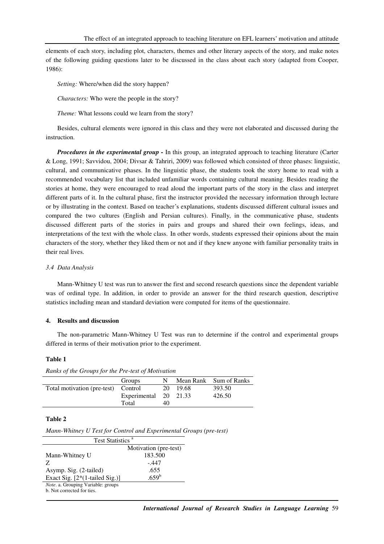elements of each story, including plot, characters, themes and other literary aspects of the story, and make notes of the following guiding questions later to be discussed in the class about each story (adapted from Cooper, 1986):

*Setting:* Where/when did the story happen?

*Characters:* Who were the people in the story?

*Theme:* What lessons could we learn from the story?

Besides, cultural elements were ignored in this class and they were not elaborated and discussed during the instruction.

*Procedures in the experimental group -* In this group, an integrated approach to teaching literature (Carter & Long, 1991; Savvidou, 2004; Divsar & Tahriri, 2009) was followed which consisted of three phases: linguistic, cultural, and communicative phases. In the linguistic phase, the students took the story home to read with a recommended vocabulary list that included unfamiliar words containing cultural meaning. Besides reading the stories at home, they were encouraged to read aloud the important parts of the story in the class and interpret different parts of it. In the cultural phase, first the instructor provided the necessary information through lecture or by illustrating in the context. Based on teacher's explanations, students discussed different cultural issues and compared the two cultures (English and Persian cultures). Finally, in the communicative phase, students discussed different parts of the stories in pairs and groups and shared their own feelings, ideas, and interpretations of the text with the whole class. In other words, students expressed their opinions about the main characters of the story, whether they liked them or not and if they knew anyone with familiar personality traits in their real lives.

# *3.4 Data Analysis*

Mann-Whitney U test was run to answer the first and second research questions since the dependent variable was of ordinal type. In addition, in order to provide an answer for the third research question, descriptive statistics including mean and standard deviation were computed for items of the questionnaire.

# **4. Results and discussion**

The non-parametric Mann-Whitney U Test was run to determine if the control and experimental groups differed in terms of their motivation prior to the experiment.

#### **Table 1**

| Ranks of the Groups for the Pre-test of Motivation |                       |    |        |                        |  |  |
|----------------------------------------------------|-----------------------|----|--------|------------------------|--|--|
|                                                    | Groups                | N. |        | Mean Rank Sum of Ranks |  |  |
| Total motivation (pre-test) Control                |                       | 20 | -19.68 | 393.50                 |  |  |
|                                                    | Experimental 20 21.33 |    |        | 426.50                 |  |  |
|                                                    | Total                 | 40 |        |                        |  |  |

#### **Table 2**

*Mann-Whitney U Test for Control and Experimental Groups (pre-test)* 

| Test Statistics <sup>a</sup>                                            |                       |  |  |  |
|-------------------------------------------------------------------------|-----------------------|--|--|--|
|                                                                         | Motivation (pre-test) |  |  |  |
| Mann-Whitney U                                                          | 183.500               |  |  |  |
| Z                                                                       | - 447                 |  |  |  |
| Asymp. Sig. (2-tailed)                                                  | .655                  |  |  |  |
| Exact Sig. $[2*(1-tailed Sig.)]$                                        | .659 <sup>b</sup>     |  |  |  |
| <i>Note.</i> a. Grouping Variable: groups<br>b. Not corrected for ties. |                       |  |  |  |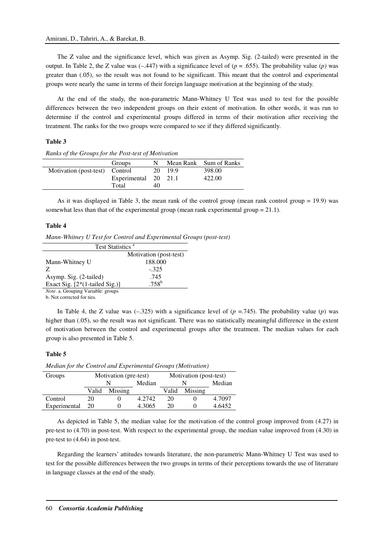The Z value and the significance level, which was given as Asymp. Sig. (2-tailed) were presented in the output. In Table 2, the Z value was  $(-.447)$  with a significance level of  $(p = .655)$ . The probability value  $(p)$  was greater than (.05), so the result was not found to be significant. This meant that the control and experimental groups were nearly the same in terms of their foreign language motivation at the beginning of the study.

At the end of the study, the non-parametric Mann-Whitney U Test was used to test for the possible differences between the two independent groups on their extent of motivation. In other words, it was run to determine if the control and experimental groups differed in terms of their motivation after receiving the treatment. The ranks for the two groups were compared to see if they differed significantly.

# **Table 3**

| <i>Retained</i> by the Storips for the 1 ost test of montaneou |                      |    |         |                        |  |  |
|----------------------------------------------------------------|----------------------|----|---------|------------------------|--|--|
|                                                                | Groups               | N  |         | Mean Rank Sum of Ranks |  |  |
| Motivation (post-test) Control                                 |                      |    | 20 19.9 | 398.00                 |  |  |
|                                                                | Experimental 20 21.1 |    |         | 422.00                 |  |  |
|                                                                | Total                | 40 |         |                        |  |  |

*Ranks of the Groups for the Post-test of Motivation*

As it was displayed in Table 3, the mean rank of the control group (mean rank control group = 19.9) was somewhat less than that of the experimental group (mean rank experimental group  $= 21.1$ ).

# **Table 4**

*Mann-Whitney U Test for Control and Experimental Groups (post-test)* 

| Test Statistics <sup>a</sup>               |                        |  |  |  |
|--------------------------------------------|------------------------|--|--|--|
|                                            | Motivation (post-test) |  |  |  |
| Mann-Whitney U                             | 188.000                |  |  |  |
| Z                                          | $-.325$                |  |  |  |
| Asymp. Sig. (2-tailed)                     | .745                   |  |  |  |
| Exact Sig. $[2*(1-tailed Sig.)]$           | $.758^{\rm b}$         |  |  |  |
| <i>Note</i> . a. Grouping Variable: groups |                        |  |  |  |

b. Not corrected for ties.

In Table 4, the Z value was  $(-.325)$  with a significance level of  $(p = .745)$ . The probability value  $(p)$  was higher than (.05), so the result was not significant. There was no statistically meaningful difference in the extent of motivation between the control and experimental groups after the treatment. The median values for each group is also presented in Table 5.

#### **Table 5**

| Groups       | Motivation (pre-test) |         | Motivation (post-test) |       |         |        |
|--------------|-----------------------|---------|------------------------|-------|---------|--------|
|              |                       |         | Median                 |       |         | Median |
|              | Valid                 | Missing |                        | Valid | Missing |        |
| Control      | 20                    |         | 4.2742                 | 20    |         | 4.7097 |
| Experimental | 20                    |         | 4.3065                 | 20.   |         | 4.6452 |

*Median for the Control and Experimental Groups (Motivation)* 

As depicted in Table 5, the median value for the motivation of the control group improved from (4.27) in pre-test to (4.70) in post-test. With respect to the experimental group, the median value improved from (4.30) in pre-test to (4.64) in post-test.

Regarding the learners' attitudes towards literature, the non-parametric Mann-Whitney U Test was used to test for the possible differences between the two groups in terms of their perceptions towards the use of literature in language classes at the end of the study.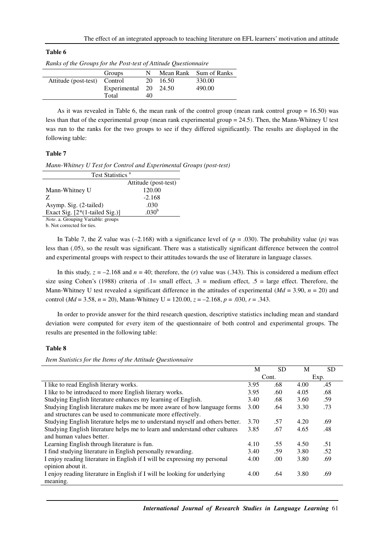## **Table 6**

*Ranks of the Groups for the Post-test of Attitude Questionnaire* 

|                              | Groups                |    |          | Mean Rank Sum of Ranks |
|------------------------------|-----------------------|----|----------|------------------------|
| Attitude (post-test) Control |                       |    | 20 16.50 | 330.00                 |
|                              | Experimental 20 24.50 |    |          | 490.00                 |
|                              | Total                 | 40 |          |                        |

As it was revealed in Table 6, the mean rank of the control group (mean rank control group  $= 16.50$ ) was less than that of the experimental group (mean rank experimental group = 24.5). Then, the Mann-Whitney U test was run to the ranks for the two groups to see if they differed significantly. The results are displayed in the following table:

# **Table 7**

*Mann-Whitney U Test for Control and Experimental Groups (post-test)* 

| Test Statistics <sup>a</sup>       |                      |  |  |
|------------------------------------|----------------------|--|--|
|                                    | Attitude (post-test) |  |  |
| Mann-Whitney U                     | 120.00               |  |  |
| Z                                  | $-2.168$             |  |  |
| Asymp. Sig. (2-tailed)             | .030                 |  |  |
| Exact Sig. $[2*(1-tailed Sig.)]$   | .030 <sup>b</sup>    |  |  |
| Note. a. Grouping Variable: groups |                      |  |  |

b. Not corrected for ties.

In Table 7, the Z value was  $(-2.168)$  with a significance level of  $(p = .030)$ . The probability value  $(p)$  was less than (.05), so the result was significant. There was a statistically significant difference between the control and experimental groups with respect to their attitudes towards the use of literature in language classes.

In this study,  $z = -2.168$  and  $n = 40$ ; therefore, the (*r*) value was (.343). This is considered a medium effect size using Cohen's (1988) criteria of  $.1$ = small effect,  $.3$  = medium effect,  $.5$  = large effect. Therefore, the Mann-Whitney U test revealed a significant difference in the attitudes of experimental (*Md* = 3.90, *n* = 20) and control ( $Md = 3.58$ ,  $n = 20$ ), Mann-Whitney U = 120.00,  $z = -2.168$ ,  $p = .030$ ,  $r = .343$ .

In order to provide answer for the third research question, descriptive statistics including mean and standard deviation were computed for every item of the questionnaire of both control and experimental groups. The results are presented in the following table:

#### **Table 8**

*Item Statistics for the Items of the Attitude Questionnaire* 

|                                                                              | M     | <b>SD</b> | M    | <b>SD</b> |
|------------------------------------------------------------------------------|-------|-----------|------|-----------|
|                                                                              | Cont. |           |      | Exp.      |
| I like to read English literary works.                                       | 3.95  | .68       | 4.00 | .45       |
| I like to be introduced to more English literary works.                      | 3.95  | .60       | 4.05 | .68       |
| Studying English literature enhances my learning of English.                 | 3.40  | .68       | 3.60 | .59       |
| Studying English literature makes me be more aware of how language forms     | 3.00  | .64       | 3.30 | .73       |
| and structures can be used to communicate more effectively.                  |       |           |      |           |
| Studying English literature helps me to understand myself and others better. | 3.70  | .57       | 4.20 | .69       |
| Studying English literature helps me to learn and understand other cultures  | 3.85  | .67       | 4.65 | .48       |
| and human values better.                                                     |       |           |      |           |
| Learning English through literature is fun.                                  | 4.10  | .55       | 4.50 | .51       |
| I find studying literature in English personally rewarding.                  | 3.40  | .59       | 3.80 | .52       |
| I enjoy reading literature in English if I will be expressing my personal    | 4.00  | .00       | 3.80 | .69       |
| opinion about it.                                                            |       |           |      |           |
| I enjoy reading literature in English if I will be looking for underlying    | 4.00  | .64       | 3.80 | .69       |
| meaning.                                                                     |       |           |      |           |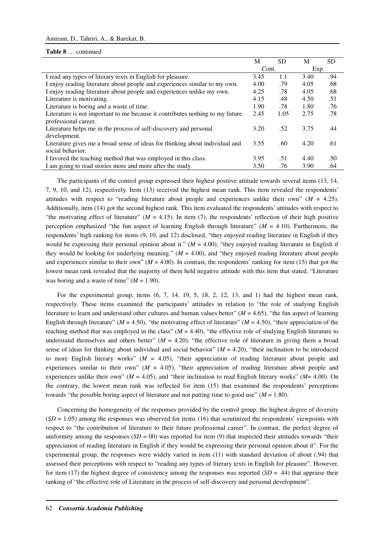#### **Table 8** … continued

|                                                                                                       | M     | <b>SD</b> | M    | SD  |
|-------------------------------------------------------------------------------------------------------|-------|-----------|------|-----|
|                                                                                                       | Cont. |           | Exp. |     |
| I read any types of literary texts in English for pleasure.                                           | 3.45  | 1.1       | 3.40 | .94 |
| I enjoy reading literature about people and experiences similar to my own.                            | 4.00  | .79       | 4.05 | .68 |
| I enjoy reading literature about people and experiences unlike my own.                                | 4.25  | .78       | 4.05 | .68 |
| Literature is motivating.                                                                             | 4.15  | .48       | 4.50 | .51 |
| Literature is boring and a waste of time.                                                             | 1.90  | .78       | 1.80 | .76 |
| Literature is not important to me because it contributes nothing to my future<br>professional career. | 2.45  | 1.05      | 2.75 | .78 |
| Literature helps me in the process of self-discovery and personal                                     | 3.20  | .52       | 3.75 | .44 |
| development.                                                                                          |       |           |      |     |
| Literature gives me a broad sense of ideas for thinking about individual and<br>social behavior.      | 3.55  | .60       | 4.20 | .61 |
| I favored the teaching method that was employed in this class.                                        | 3.95  | .51       | 4.40 | .50 |
| I am going to read stories more and more after the study.                                             | 3.50  | .76       | 3.90 | .64 |

The participants of the control group expressed their highest positive attitude towards several items (13, 14, 7, 9, 10, and 12), respectively. Item (13) received the highest mean rank. This item revealed the respondents' attitudes with respect to "reading literature about people and experiences unlike their own" ( $M = 4.25$ ). Additionally, item (14) got the second highest rank. This item evaluated the respondents' attitudes with respect to "the motivating effect of literature" ( $M = 4.15$ ). In item (7), the respondents' reflection of their high positive perception emphasized "the fun aspect of learning English through literature" (*M* = 4.10). Furthermore, the respondents' high ranking for items (9, 10, and 12) disclosed, "they enjoyed reading literature in English if they would be expressing their personal opinion about it."  $(M = 4.00)$ , "they enjoyed reading literature in English if they would be looking for underlying meaning."  $(M = 4.00)$ , and "they enjoyed reading literature about people and experiences similar to their own" ( $M = 4.00$ ). In contrast, the respondents' ranking for item (15) that got the lowest mean rank revealed that the majority of them held negative attitude with this item that stated, "Literature was boring and a waste of time"  $(M = 1.90)$ .

For the experimental group, items  $(6, 7, 14, 19, 5, 18, 2, 12, 13,$  and 1) had the highest mean rank, respectively. These items examined the participants' attitudes in relation to "the role of studying English literature to learn and understand other cultures and human values better" ( $M = 4.65$ ), "the fun aspect of learning English through literature" ( $M = 4.50$ ), "the motivating effect of literature" ( $M = 4.50$ ), "their appreciation of the teaching method that was employed in the class" ( $M = 4.40$ ), "the effective role of studying English literature to understand themselves and others better"  $(M = 4.20)$ , "the effective role of literature in giving them a broad sense of ideas for thinking about individual and social behavior"  $(M = 4.20)$ , "their inclination to be introduced to more English literary works"  $(M = 4.05)$ , "their appreciation of reading literature about people and experiences similar to their own" ( $M = 4.05$ ), "their appreciation of reading literature about people and experiences unlike their own" (*M* = 4.05), and "their inclination to read English literary works" (*M*= 4.00). On the contrary, the lowest mean rank was reflected for item (15) that examined the respondents' perceptions towards "the possible boring aspect of literature and not putting time to good use"  $(M = 1.80)$ .

Concerning the homogeneity of the responses provided by the control group, the highest degree of diversity  $(SD = 1.05)$  among the responses was observed for items (16) that scrutinized the respondents' viewpoints with respect to "the contribution of literature to their future professional career". In contrast, the perfect degree of uniformity among the responses  $(SD = 00)$  was reported for item (9) that inspected their attitudes towards "their appreciation of reading literature in English if they would be expressing their personal opinion about it". For the experimental group, the responses were widely varied in item (11) with standard deviation of about (.94) that assessed their perceptions with respect to "reading any types of literary texts in English for pleasure". However, for item (17) the highest degree of consistency among the responses was reported  $(SD = .44)$  that appraise their ranking of "the effective role of Literature in the process of self-discovery and personal development".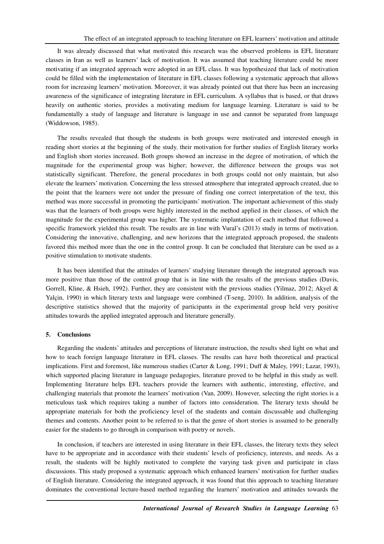It was already discussed that what motivated this research was the observed problems in EFL literature classes in Iran as well as learners' lack of motivation. It was assumed that teaching literature could be more motivating if an integrated approach were adopted in an EFL class. It was hypothesized that lack of motivation could be filled with the implementation of literature in EFL classes following a systematic approach that allows room for increasing learners' motivation. Moreover, it was already pointed out that there has been an increasing awareness of the significance of integrating literature in EFL curriculum. A syllabus that is based, or that draws heavily on authentic stories, provides a motivating medium for language learning. Literature is said to be fundamentally a study of language and literature is language in use and cannot be separated from language (Widdowson, 1985).

The results revealed that though the students in both groups were motivated and interested enough in reading short stories at the beginning of the study, their motivation for further studies of English literary works and English short stories increased. Both groups showed an increase in the degree of motivation, of which the magnitude for the experimental group was higher; however, the difference between the groups was not statistically significant. Therefore, the general procedures in both groups could not only maintain, but also elevate the learners' motivation. Concerning the less stressed atmosphere that integrated approach created, due to the point that the learners were not under the pressure of finding one correct interpretation of the text, this method was more successful in promoting the participants' motivation. The important achievement of this study was that the learners of both groups were highly interested in the method applied in their classes, of which the magnitude for the experimental group was higher. The systematic implantation of each method that followed a specific framework yielded this result. The results are in line with Vural's (2013) study in terms of motivation. Considering the innovative, challenging, and new horizons that the integrated approach proposed, the students favored this method more than the one in the control group. It can be concluded that literature can be used as a positive stimulation to motivate students.

It has been identified that the attitudes of learners' studying literature through the integrated approach was more positive than those of the control group that is in line with the results of the previous studies (Davis, Gorrell, Kline, & Hsieh, 1992). Further, they are consistent with the previous studies (Yilmaz, 2012; Akyel & Yalçin, 1990) in which literary texts and language were combined (T-seng, 2010). In addition, analysis of the descriptive statistics showed that the majority of participants in the experimental group held very positive attitudes towards the applied integrated approach and literature generally.

# **5. Conclusions**

Regarding the students' attitudes and perceptions of literature instruction, the results shed light on what and how to teach foreign language literature in EFL classes. The results can have both theoretical and practical implications. First and foremost, like numerous studies (Carter & Long, 1991; Duff & Maley, 1991; Lazar, 1993), which supported placing literature in language pedagogies, literature proved to be helpful in this study as well. Implementing literature helps EFL teachers provide the learners with authentic, interesting, effective, and challenging materials that promote the learners' motivation (Van, 2009). However, selecting the right stories is a meticulous task which requires taking a number of factors into consideration. The literary texts should be appropriate materials for both the proficiency level of the students and contain discussable and challenging themes and contents. Another point to be referred to is that the genre of short stories is assumed to be generally easier for the students to go through in comparison with poetry or novels.

In conclusion, if teachers are interested in using literature in their EFL classes, the literary texts they select have to be appropriate and in accordance with their students' levels of proficiency, interests, and needs. As a result, the students will be highly motivated to complete the varying task given and participate in class discussions. This study proposed a systematic approach which enhanced learners' motivation for further studies of English literature. Considering the integrated approach, it was found that this approach to teaching literature dominates the conventional lecture-based method regarding the learners' motivation and attitudes towards the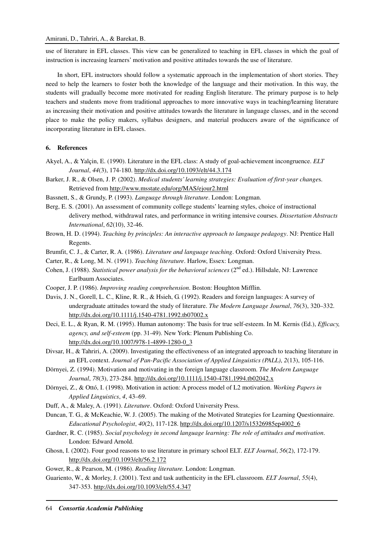use of literature in EFL classes. This view can be generalized to teaching in EFL classes in which the goal of instruction is increasing learners' motivation and positive attitudes towards the use of literature.

In short, EFL instructors should follow a systematic approach in the implementation of short stories. They need to help the learners to foster both the knowledge of the language and their motivation. In this way, the students will gradually become more motivated for reading English literature. The primary purpose is to help teachers and students move from traditional approaches to more innovative ways in teaching/learning literature as increasing their motivation and positive attitudes towards the literature in language classes, and in the second place to make the policy makers, syllabus designers, and material producers aware of the significance of incorporating literature in EFL classes.

# **6. References**

- Akyel, A., & Yalçin, E. (1990). Literature in the EFL class: A study of goal-achievement incongruence. *ELT Journal*, *44*(3), 174-180. http://dx.doi.org/10.1093/elt/44.3.174
- Barker, J. R., & Olsen, J. P. (2002). *Medical students' learning strategies: Evaluation of first-year change*s. Retrieved from http://www.msstate.edu/org/MAS/ejour2.html
- Bassnett, S., & Grundy, P. (1993). *Language through literature*. London: Longman.

Berg, E. S. (2001). An assessment of community college students' learning styles, choice of instructional delivery method, withdrawal rates, and performance in writing intensive courses. *Dissertation Abstracts International*, *62*(10), 32-46.

- Brown, H. D. (1994). *Teaching by principles: An interactive approach to language pedagogy*. NJ: Prentice Hall Regents.
- Brumfit, C. J., & Carter, R. A. (1986). *Literature and language teaching*. Oxford: Oxford University Press.
- Carter, R., & Long, M. N. (1991). *Teaching literature*. Harlow, Essex: Longman.
- Cohen, J. (1988). *Statistical power analysis for the behavioral sciences* (2<sup>nd</sup> ed.). Hillsdale, NJ: Lawrence Earlbaum Associates.
- Cooper, J. P. (1986). *Improving reading comprehension*. Boston: Houghton Mifflin.
- Davis, J. N., Gorell, L. C., Kline, R. R., & Hsieh, G. (1992). Readers and foreign languages: A survey of undergraduate attitudes toward the study of literature. *The Modern Language Journal*, *76*(3), 320–332. http://dx.doi.org/10.1111/j.1540-4781.1992.tb07002.x
- Deci, E. L., & Ryan, R. M. (1995). Human autonomy: The basis for true self-esteem. In M. Kernis (Ed.), *Efficacy, agency, and self-esteem* (pp. 31-49). New York: Plenum Publishing Co. http://dx.doi.org/10.1007/978-1-4899-1280-0\_3
- Divsar, H., & Tahriri, A. (2009). Investigating the effectiveness of an integrated approach to teaching literature in an EFL context. *Journal of Pan-Pacific Association of Applied Linguistics (PALL)*, *2*(13), 105-116.
- Dörnyei, Z. (1994). Motivation and motivating in the foreign language classroom. *The Modern Language Journal*, *78*(3), 273-284. http://dx.doi.org/10.1111/j.1540-4781.1994.tb02042.x
- Dörnyei, Z., & Ottó, I. (1998). Motivation in action: A process model of L2 motivation. *Working Papers in Applied Linguistics*, *4*, 43–69.
- Duff, A., & Maley, A. (1991). *Literature*. Oxford: Oxford University Press.
- Duncan, T. G., & McKeachie, W. J. (2005). The making of the Motivated Strategies for Learning Questionnaire. *Educational Psychologist*, *40*(2), 117-128. http://dx.doi.org/10.1207/s15326985ep4002\_6
- Gardner, R. C. (1985). *Social psychology in second language learning: The role of attitudes and motivation*. London: Edward Arnold.
- Ghosn, I. (2002). Four good reasons to use literature in primary school ELT. *ELT Journal*, *56*(2), 172-179. http://dx.doi.org/10.1093/elt/56.2.172
- Gower, R., & Pearson, M. (1986). *Reading literature.* London: Longman.
- Guariento, W., & Morley, J. (2001). Text and task authenticity in the EFL classroom. *ELT Journal*, *55*(4), 347-353. http://dx.doi.org/10.1093/elt/55.4.347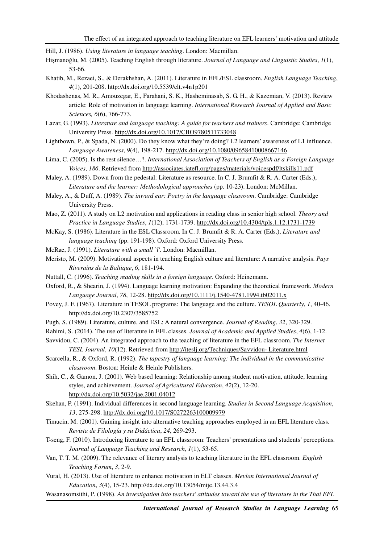Hill, J. (1986). *Using literature in language teaching*. London: Macmillan.

- Hişmanoğlu, M. (2005). Teaching English through literature. *Journal of Language and Linguistic Studies*, *1*(1), 53-66.
- Khatib, M., Rezaei, S., & Derakhshan, A. (2011). Literature in EFL/ESL classroom. *English Language Teaching*, *4*(1), 201-208. http://dx.doi.org/10.5539/elt.v4n1p201
- Khodashenas, M. R., Amouzegar, E., Farahani, S. K., Hasheminasab, S. G. H., & Kazemian, V. (2013). Review article: Role of motivation in language learning. *International Research Journal of Applied and Basic Sciences, 6*(6), 766-773.
- Lazar, G. (1993). *Literature and language teaching: A guide for teachers and trainers*. Cambridge: Cambridge University Press. http://dx.doi.org/10.1017/CBO9780511733048
- Lightbown, P., & Spada, N. (2000). Do they know what they're doing? L2 learners' awareness of L1 influence. *Language Awareness*, *9*(4), 198-217. http://dx.doi.org/10.1080/09658410008667146
- Lima, C. (2005). Is the rest silence…?. *International Association of Teachers of English as a Foreign Language Voices*, *186*. Retrieved from http://associates.iatefl.org/pages/materials/voicespdf/ltskills11.pdf
- Maley, A. (1989). Down from the pedestal: Literature as resource. In C. J. Brumfit & R. A. Carter (Eds.), *Literature and the learner: Methodological approaches* (pp. 10-23). London: McMillan.
- Maley, A., & Duff, A. (1989). *The inward ear: Poetry in the language classroom*. Cambridge: Cambridge University Press.
- Mao, Z. (2011). A study on L2 motivation and applications in reading class in senior high school. *Theory and Practice in Language Studies*, *1*(12), 1731-1739. http://dx.doi.org/10.4304/tpls.1.12.1731-1739
- McKay, S. (1986). Literature in the ESL Classroom. In C. J. Brumfit & R. A. Carter (Eds.), *Literature and language teaching* (pp. 191-198). Oxford: Oxford University Press.
- McRae, J. (1991). *Literature with a small `l'*. London: Macmillan.
- Meristo, M. (2009). Motivational aspects in teaching English culture and literature: A narrative analysis. *Pays Riverains de la Baltique*, *6*, 181-194.
- Nuttall, C. (1996). *Teaching reading skills in a foreign language*. Oxford: Heinemann.
- Oxford, R., & Shearin, J. (1994). Language learning motivation: Expanding the theoretical framework. *Modern Language Journal*, *78*, 12-28. http://dx.doi.org/10.1111/j.1540-4781.1994.tb02011.x
- Povey, J. F. (1967). Literature in TESOL programs: The language and the culture. *TESOL Quarterly*, *1*, 40-46. http://dx.doi.org/10.2307/3585752
- Pugh, S. (1989). Literature, culture, and ESL: A natural convergence. *Journal of Reading*, *32*, 320-329.
- Rahimi, S. (2014). The use of literature in EFL classes. *Journal of Academic and Applied Studies*, *4*(6), 1-12.
- Savvidou, C. (2004). An integrated approach to the teaching of literature in the EFL classroom. *The Internet TESL Journal*, *10*(12). Retrieved from http://iteslj.org/Techniques/Savvidou- Literature.html
- Scarcella, R., & Oxford, R. (1992). *The tapestry of language learning: The individual in the communicative classroom*. Boston: Heinle & Heinle Publishers.
- Shih, C., & Gamon, J. (2001). Web based learning: Relationship among student motivation, attitude, learning styles, and achievement. *Journal of Agricultural Education*, *42*(2), 12-20. http://dx.doi.org/10.5032/jae.2001.04012
- Skehan, P. (1991). Individual differences in second language learning. *Studies in Second Language Acquisition*, *13*, 275-298. http://dx.doi.org/10.1017/S0272263100009979
- Timucin, M. (2001). Gaining insight into alternative teaching approaches employed in an EFL literature class. *Revista de Filología y su Didáctica*, *24*, 269-293.
- T-seng, F. (2010). Introducing literature to an EFL classroom: Teachers' presentations and students' perceptions. *Journal of Language Teaching and Research*, *1*(1), 53-65.
- Van, T. T. M. (2009). The relevance of literary analysis to teaching literature in the EFL classroom. *English Teaching Forum*, *3*, 2-9.
- Vural, H. (2013). Use of literature to enhance motivation in ELT classes. *Mevlan International Journal of Education*, *3*(4), 15-23. http://dx.doi.org/10.13054/mije.13.44.3.4
- Wasanasomsithi, P. (1998). *An investigation into teachers' attitudes toward the use of literature in the Thai EFL*